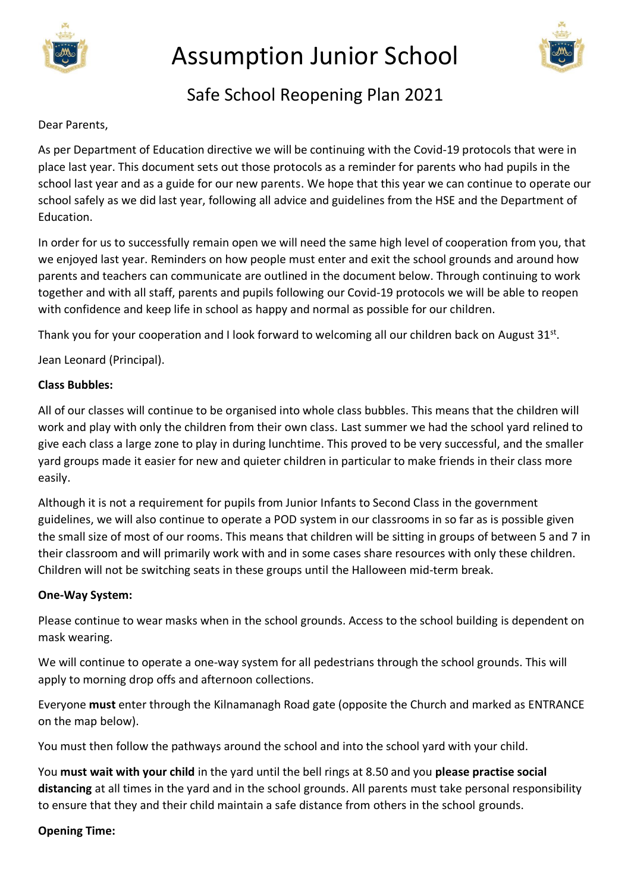

# Assumption Junior School



# Safe School Reopening Plan 2021

#### Dear Parents,

As per Department of Education directive we will be continuing with the Covid-19 protocols that were in place last year. This document sets out those protocols as a reminder for parents who had pupils in the school last year and as a guide for our new parents. We hope that this year we can continue to operate our school safely as we did last year, following all advice and guidelines from the HSE and the Department of **Education** 

In order for us to successfully remain open we will need the same high level of cooperation from you, that we enjoyed last year. Reminders on how people must enter and exit the school grounds and around how parents and teachers can communicate are outlined in the document below. Through continuing to work together and with all staff, parents and pupils following our Covid-19 protocols we will be able to reopen with confidence and keep life in school as happy and normal as possible for our children.

Thank you for your cooperation and I look forward to welcoming all our children back on August 31st.

Jean Leonard (Principal).

#### **Class Bubbles:**

All of our classes will continue to be organised into whole class bubbles. This means that the children will work and play with only the children from their own class. Last summer we had the school yard relined to give each class a large zone to play in during lunchtime. This proved to be very successful, and the smaller yard groups made it easier for new and quieter children in particular to make friends in their class more easily.

Although it is not a requirement for pupils from Junior Infants to Second Class in the government guidelines, we will also continue to operate a POD system in our classrooms in so far as is possible given the small size of most of our rooms. This means that children will be sitting in groups of between 5 and 7 in their classroom and will primarily work with and in some cases share resources with only these children. Children will not be switching seats in these groups until the Halloween mid-term break.

#### **One-Way System:**

Please continue to wear masks when in the school grounds. Access to the school building is dependent on mask wearing.

We will continue to operate a one-way system for all pedestrians through the school grounds. This will apply to morning drop offs and afternoon collections.

Everyone **must** enter through the Kilnamanagh Road gate (opposite the Church and marked as ENTRANCE on the map below).

You must then follow the pathways around the school and into the school yard with your child.

You **must wait with your child** in the yard until the bell rings at 8.50 and you **please practise social distancing** at all times in the yard and in the school grounds. All parents must take personal responsibility to ensure that they and their child maintain a safe distance from others in the school grounds.

#### **Opening Time:**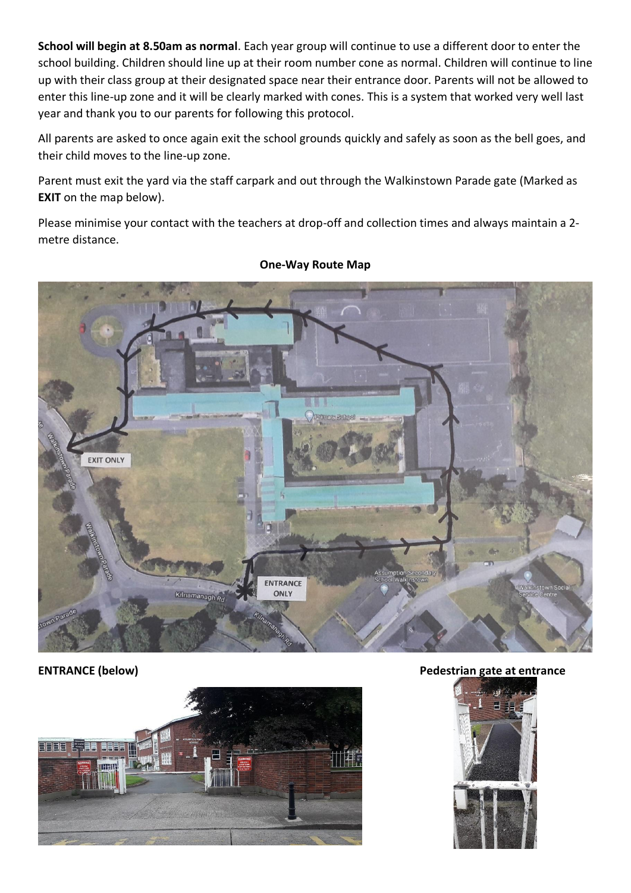**School will begin at 8.50am as normal**. Each year group will continue to use a different door to enter the school building. Children should line up at their room number cone as normal. Children will continue to line up with their class group at their designated space near their entrance door. Parents will not be allowed to enter this line-up zone and it will be clearly marked with cones. This is a system that worked very well last year and thank you to our parents for following this protocol.

All parents are asked to once again exit the school grounds quickly and safely as soon as the bell goes, and their child moves to the line-up zone.

Parent must exit the yard via the staff carpark and out through the Walkinstown Parade gate (Marked as **EXIT** on the map below).

Please minimise your contact with the teachers at drop-off and collection times and always maintain a 2 metre distance.



#### **One-Way Route Map**



**ENTRANCE (below) Pedestrian gate at entrance**

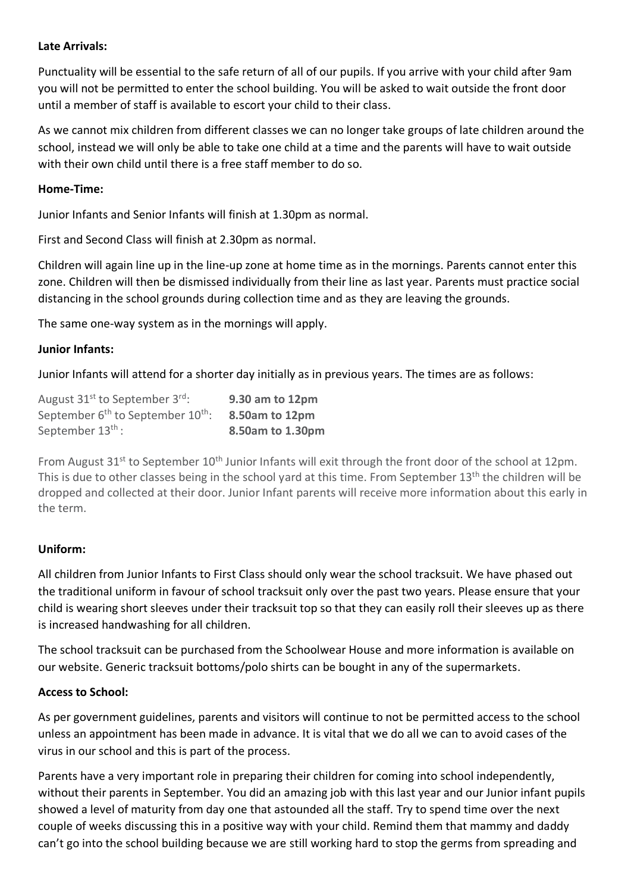#### **Late Arrivals:**

Punctuality will be essential to the safe return of all of our pupils. If you arrive with your child after 9am you will not be permitted to enter the school building. You will be asked to wait outside the front door until a member of staff is available to escort your child to their class.

As we cannot mix children from different classes we can no longer take groups of late children around the school, instead we will only be able to take one child at a time and the parents will have to wait outside with their own child until there is a free staff member to do so.

#### **Home-Time:**

Junior Infants and Senior Infants will finish at 1.30pm as normal.

First and Second Class will finish at 2.30pm as normal.

Children will again line up in the line-up zone at home time as in the mornings. Parents cannot enter this zone. Children will then be dismissed individually from their line as last year. Parents must practice social distancing in the school grounds during collection time and as they are leaving the grounds.

The same one-way system as in the mornings will apply.

#### **Junior Infants:**

Junior Infants will attend for a shorter day initially as in previous years. The times are as follows:

| August 31 <sup>st</sup> to September 3 <sup>rd</sup> :    | 9.30 am to 12pm  |
|-----------------------------------------------------------|------------------|
| September 6 <sup>th</sup> to September 10 <sup>th</sup> : | 8.50am to 12pm   |
| September 13 <sup>th</sup> :                              | 8.50am to 1.30pm |

From August 31<sup>st</sup> to September 10<sup>th</sup> Junior Infants will exit through the front door of the school at 12pm. This is due to other classes being in the school yard at this time. From September 13<sup>th</sup> the children will be dropped and collected at their door. Junior Infant parents will receive more information about this early in the term.

#### **Uniform:**

All children from Junior Infants to First Class should only wear the school tracksuit. We have phased out the traditional uniform in favour of school tracksuit only over the past two years. Please ensure that your child is wearing short sleeves under their tracksuit top so that they can easily roll their sleeves up as there is increased handwashing for all children.

The school tracksuit can be purchased from the Schoolwear House and more information is available on our website. Generic tracksuit bottoms/polo shirts can be bought in any of the supermarkets.

#### **Access to School:**

As per government guidelines, parents and visitors will continue to not be permitted access to the school unless an appointment has been made in advance. It is vital that we do all we can to avoid cases of the virus in our school and this is part of the process.

Parents have a very important role in preparing their children for coming into school independently, without their parents in September. You did an amazing job with this last year and our Junior infant pupils showed a level of maturity from day one that astounded all the staff. Try to spend time over the next couple of weeks discussing this in a positive way with your child. Remind them that mammy and daddy can't go into the school building because we are still working hard to stop the germs from spreading and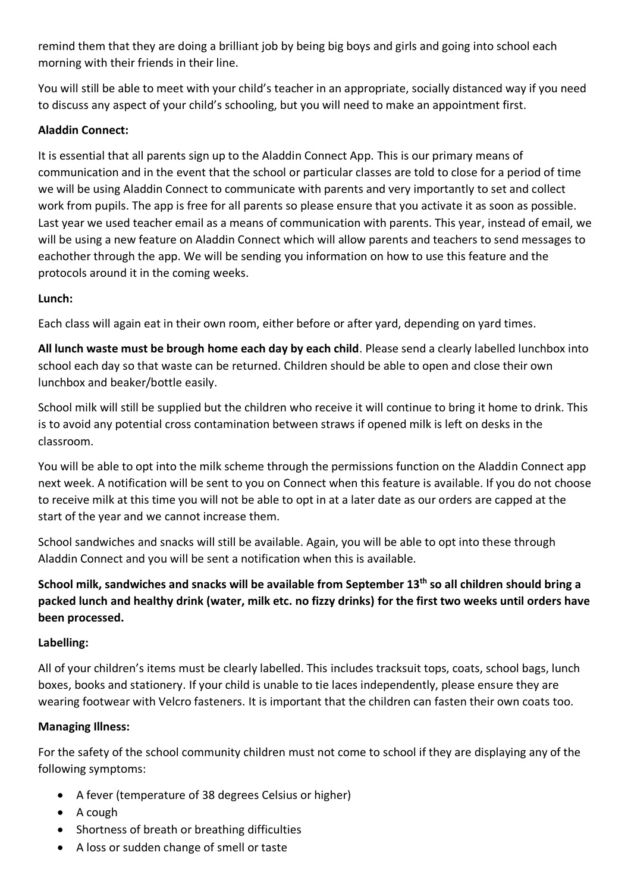remind them that they are doing a brilliant job by being big boys and girls and going into school each morning with their friends in their line.

You will still be able to meet with your child's teacher in an appropriate, socially distanced way if you need to discuss any aspect of your child's schooling, but you will need to make an appointment first.

### **Aladdin Connect:**

It is essential that all parents sign up to the Aladdin Connect App. This is our primary means of communication and in the event that the school or particular classes are told to close for a period of time we will be using Aladdin Connect to communicate with parents and very importantly to set and collect work from pupils. The app is free for all parents so please ensure that you activate it as soon as possible. Last year we used teacher email as a means of communication with parents. This year, instead of email, we will be using a new feature on Aladdin Connect which will allow parents and teachers to send messages to eachother through the app. We will be sending you information on how to use this feature and the protocols around it in the coming weeks.

# **Lunch:**

Each class will again eat in their own room, either before or after yard, depending on yard times.

**All lunch waste must be brough home each day by each child**. Please send a clearly labelled lunchbox into school each day so that waste can be returned. Children should be able to open and close their own lunchbox and beaker/bottle easily.

School milk will still be supplied but the children who receive it will continue to bring it home to drink. This is to avoid any potential cross contamination between straws if opened milk is left on desks in the classroom.

You will be able to opt into the milk scheme through the permissions function on the Aladdin Connect app next week. A notification will be sent to you on Connect when this feature is available. If you do not choose to receive milk at this time you will not be able to opt in at a later date as our orders are capped at the start of the year and we cannot increase them.

School sandwiches and snacks will still be available. Again, you will be able to opt into these through Aladdin Connect and you will be sent a notification when this is available.

**School milk, sandwiches and snacks will be available from September 13th so all children should bring a packed lunch and healthy drink (water, milk etc. no fizzy drinks) for the first two weeks until orders have been processed.**

# **Labelling:**

All of your children's items must be clearly labelled. This includes tracksuit tops, coats, school bags, lunch boxes, books and stationery. If your child is unable to tie laces independently, please ensure they are wearing footwear with Velcro fasteners. It is important that the children can fasten their own coats too.

# **Managing Illness:**

For the safety of the school community children must not come to school if they are displaying any of the following symptoms:

- A fever (temperature of 38 degrees Celsius or higher)
- A cough
- Shortness of breath or breathing difficulties
- A loss or sudden change of smell or taste